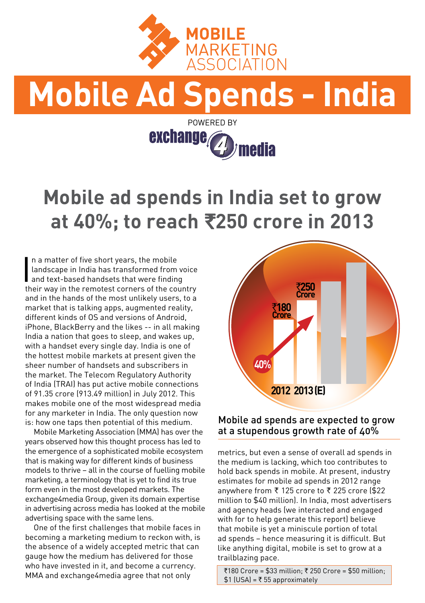

# **Mobile Ad Spends - India**



## **Mobile ad spends in India set to grow at 40%; to reach** `**250 crore in 2013**

In a matter of five short years, the mobile<br>
landscape in India has transformed from w<br>
and text-based handsets that were finding<br>
their way in the remeted cerners of the ocur n a matter of five short years, the mobile landscape in India has transformed from voice their way in the remotest corners of the country and in the hands of the most unlikely users, to a market that is talking apps, augmented reality, different kinds of OS and versions of Android, iPhone, BlackBerry and the likes -- in all making India a nation that goes to sleep, and wakes up, with a handset every single day. India is one of the hottest mobile markets at present given the sheer number of handsets and subscribers in the market. The Telecom Regulatory Authority of India (TRAI) has put active mobile connections of 91.35 crore (913.49 million) in July 2012. This makes mobile one of the most widespread media for any marketer in India. The only question now is: how one taps then potential of this medium.

Mobile Marketing Association (MMA) has over the years observed how this thought process has led to the emergence of a sophisticated mobile ecosystem that is making way for different kinds of business models to thrive – all in the course of fuelling mobile marketing, a terminology that is yet to find its true form even in the most developed markets. The exchange4media Group, given its domain expertise in advertising across media has looked at the mobile advertising space with the same lens.

One of the first challenges that mobile faces in becoming a marketing medium to reckon with, is the absence of a widely accepted metric that can gauge how the medium has delivered for those who have invested in it, and become a currency. MMA and exchange4media agree that not only



## Mobile ad spends are expected to grow at a stupendous growth rate of 40%

metrics, but even a sense of overall ad spends in the medium is lacking, which too contributes to hold back spends in mobile. At present, industry estimates for mobile ad spends in 2012 range anywhere from ₹ 125 crore to ₹ 225 crore (\$22 million to \$40 million). In India, most advertisers and agency heads (we interacted and engaged with for to help generate this report) believe that mobile is yet a miniscule portion of total ad spends – hence measuring it is difficult. But like anything digital, mobile is set to grow at a trailblazing pace.

 $\overline{2}180$  Crore = \$33 million;  $\overline{2}$  250 Crore = \$50 million;  $$1$  (USA) = ₹ 55 approximately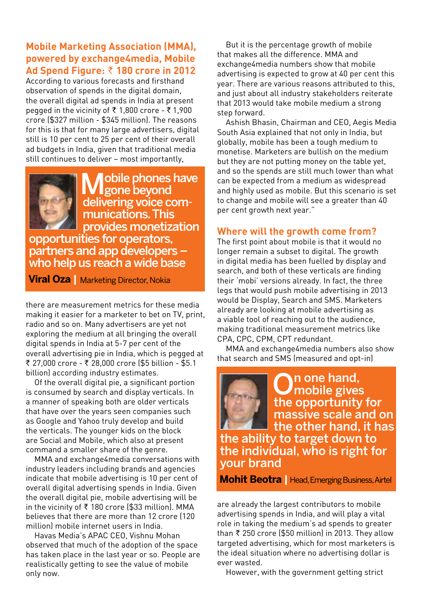## **Mobile Marketing Association (MMA), powered by exchange4media, Mobile Ad Spend Figure:** ` **180 crore in 2012**

According to various forecasts and firsthand observation of spends in the digital domain, the overall digital ad spends in India at present pegged in the vicinity of  $\bar{x}$  1,800 crore -  $\bar{x}$  1,900 crore (\$327 million - \$345 million). The reasons for this is that for many large advertisers, digital still is 10 per cent to 25 per cent of their overall ad budgets in India, given that traditional media still continues to deliver – most importantly,



lobile phones have gone beyond delivering voice communications. This provides monetization opportunities for operators,

partners and app developers – who help us reach a wide base

**Viral Oza |** Marketing Director, Nokia

there are measurement metrics for these media making it easier for a marketer to bet on TV, print, radio and so on. Many advertisers are yet not exploring the medium at all bringing the overall digital spends in India at 5-7 per cent of the overall advertising pie in India, which is pegged at ₹ 27,000 crore - ₹ 28,000 crore (\$5 billion - \$5.1 billion) according industry estimates.

Of the overall digital pie, a significant portion is consumed by search and display verticals. In a manner of speaking both are older verticals that have over the years seen companies such as Google and Yahoo truly develop and build the verticals. The younger kids on the block are Social and Mobile, which also at present command a smaller share of the genre.

MMA and exchange4media conversations with industry leaders including brands and agencies indicate that mobile advertising is 10 per cent of overall digital advertising spends in India. Given the overall digital pie, mobile advertising will be in the vicinity of  $\bar{\tau}$  180 crore (\$33 million). MMA believes that there are more than 12 crore (120 million) mobile internet users in India.

Havas Media's APAC CEO, Vishnu Mohan observed that much of the adoption of the space has taken place in the last year or so. People are realistically getting to see the value of mobile only now.

But it is the percentage growth of mobile that makes all the difference. MMA and exchange4media numbers show that mobile advertising is expected to grow at 40 per cent this year. There are various reasons attributed to this, and just about all industry stakeholders reiterate that 2013 would take mobile medium a strong step forward.

Ashish Bhasin, Chairman and CEO, Aegis Media South Asia explained that not only in India, but globally, mobile has been a tough medium to monetise. Marketers are bullish on the medium but they are not putting money on the table yet, and so the spends are still much lower than what can be expected from a medium as widespread and highly used as mobile. But this scenario is set to change and mobile will see a greater than 40 per cent growth next year."

## **Where will the growth come from?**

The first point about mobile is that it would no longer remain a subset to digital. The growth in digital media has been fuelled by display and search, and both of these verticals are finding their 'mobi' versions already. In fact, the three legs that would push mobile advertising in 2013 would be Display, Search and SMS. Marketers already are looking at mobile advertising as a viable tool of reaching out to the audience, making traditional measurement metrics like CPA, CPC, CPM, CPT redundant.

MMA and exchange4media numbers also show that search and SMS (measured and opt-in)

On one hand,<br> **O**mobile gives the opportunity for massive scale and on the other hand, it has the ability to target down to the individual, who is right for your brand

**Mohit Beotra |** Head, Emerging Business, Airtel

are already the largest contributors to mobile advertising spends in India, and will play a vital role in taking the medium's ad spends to greater than  $\bar{\tau}$  250 crore (\$50 million) in 2013. They allow targeted advertising, which for most marketers is the ideal situation where no advertising dollar is ever wasted.

However, with the government getting strict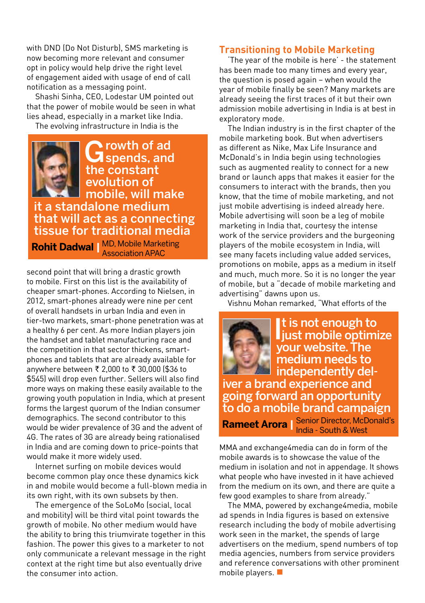with DND (Do Not Disturb), SMS marketing is now becoming more relevant and consumer opt in policy would help drive the right level of engagement aided with usage of end of call notification as a messaging point.

Shashi Sinha, CEO, Lodestar UM pointed out that the power of mobile would be seen in what lies ahead, especially in a market like India.

The evolving infrastructure in India is the



Growth of ad<br>
Spends, and the constant evolution of mobile, will make it a standalone medium that will act as a connecting

tissue for traditional media **Rohit Dadwal |** MD, Mobile Marketing Association APAC

second point that will bring a drastic growth to mobile. First on this list is the availability of cheaper smart-phones. According to Nielsen, in 2012, smart-phones already were nine per cent of overall handsets in urban India and even in tier-two markets, smart-phone penetration was at a healthy 6 per cent. As more Indian players join the handset and tablet manufacturing race and the competition in that sector thickens, smartphones and tablets that are already available for anywhere between ₹ 2,000 to ₹ 30,000 (\$36 to \$545) will drop even further. Sellers will also find more ways on making these easily available to the growing youth population in India, which at present forms the largest quorum of the Indian consumer demographics. The second contributor to this would be wider prevalence of 3G and the advent of 4G. The rates of 3G are already being rationalised in India and are coming down to price-points that would make it more widely used.

Internet surfing on mobile devices would become common play once these dynamics kick in and mobile would become a full-blown media in its own right, with its own subsets by then.

The emergence of the SoLoMo (social, local and mobility) will be third vital point towards the growth of mobile. No other medium would have the ability to bring this triumvirate together in this fashion. The power this gives to a marketer to not only communicate a relevant message in the right context at the right time but also eventually drive the consumer into action.

### **Transitioning to Mobile Marketing**

'The year of the mobile is here' - the statement has been made too many times and every year, the question is posed again – when would the year of mobile finally be seen? Many markets are already seeing the first traces of it but their own admission mobile advertising in India is at best in exploratory mode.

The Indian industry is in the first chapter of the mobile marketing book. But when advertisers as different as Nike, Max Life Insurance and McDonald's in India begin using technologies such as augmented reality to connect for a new brand or launch apps that makes it easier for the consumers to interact with the brands, then you know, that the time of mobile marketing, and not just mobile advertising is indeed already here. Mobile advertising will soon be a leg of mobile marketing in India that, courtesy the intense work of the service providers and the burgeoning players of the mobile ecosystem in India, will see many facets including value added services, promotions on mobile, apps as a medium in itself and much, much more. So it is no longer the year of mobile, but a "decade of mobile marketing and advertising" dawns upon us.

Vishnu Mohan remarked, "What efforts of the

It is not enough to<br>liust mobile optimize t is not enough to your website. The medium needs to independently deliver a brand experience and going forward an opportunity to do a mobile brand campaign **Rameet Arora** | Senior Director, McDonald's **Notain** 

MMA and exchange4media can do in form of the mobile awards is to showcase the value of the medium in isolation and not in appendage. It shows what people who have invested in it have achieved from the medium on its own, and there are quite a few good examples to share from already.'

The MMA, powered by exchange4media, mobile ad spends in India figures is based on extensive research including the body of mobile advertising work seen in the market, the spends of large advertisers on the medium, spend numbers of top media agencies, numbers from service providers and reference conversations with other prominent mobile players.  $\blacksquare$